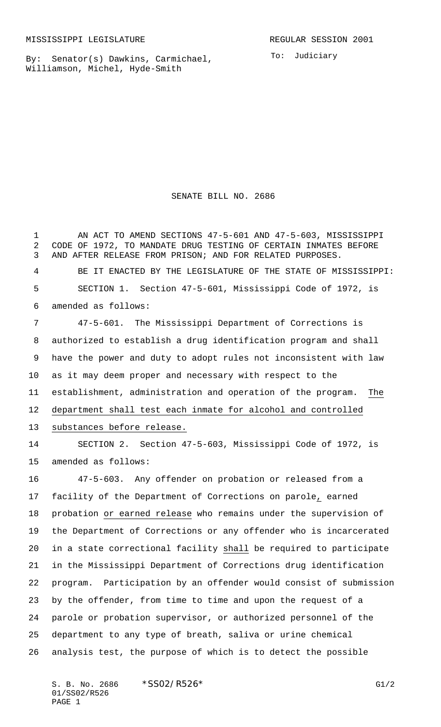By: Senator(s) Dawkins, Carmichael, Williamson, Michel, Hyde-Smith

SENATE BILL NO. 2686

1 AN ACT TO AMEND SECTIONS 47-5-601 AND 47-5-603, MISSISSIPPI CODE OF 1972, TO MANDATE DRUG TESTING OF CERTAIN INMATES BEFORE AND AFTER RELEASE FROM PRISON; AND FOR RELATED PURPOSES. BE IT ENACTED BY THE LEGISLATURE OF THE STATE OF MISSISSIPPI: SECTION 1. Section 47-5-601, Mississippi Code of 1972, is

amended as follows:

 47-5-601. The Mississippi Department of Corrections is authorized to establish a drug identification program and shall have the power and duty to adopt rules not inconsistent with law as it may deem proper and necessary with respect to the establishment, administration and operation of the program. The department shall test each inmate for alcohol and controlled substances before release.

 SECTION 2. Section 47-5-603, Mississippi Code of 1972, is amended as follows:

 47-5-603. Any offender on probation or released from a facility of the Department of Corrections on parole, earned probation or earned release who remains under the supervision of the Department of Corrections or any offender who is incarcerated in a state correctional facility shall be required to participate in the Mississippi Department of Corrections drug identification program. Participation by an offender would consist of submission by the offender, from time to time and upon the request of a parole or probation supervisor, or authorized personnel of the department to any type of breath, saliva or urine chemical analysis test, the purpose of which is to detect the possible